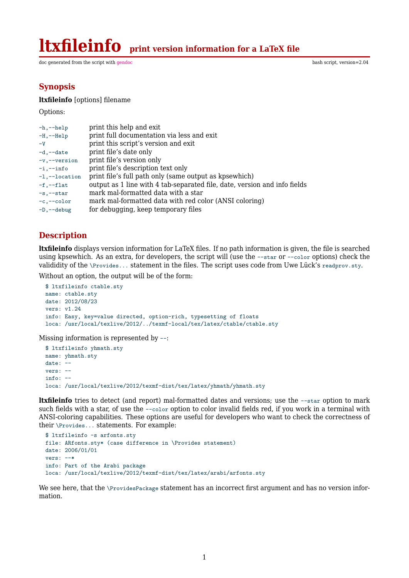**ltxfileinfo print version information for a LaTeX file**

doc generated from the script with [gendoc](http://www.dekkerdocumenten.nl/unix/doc/gendoc.html) bash script, version=2.04

# **Synopsis**

#### **ltxfileinfo** [options] filename

Options:

| $-h,--help$            | print this help and exit                                                  |
|------------------------|---------------------------------------------------------------------------|
| $-H, --He1p$           | print full documentation via less and exit                                |
| $-V$                   | print this script's version and exit                                      |
| $-d$ , $-date$         | print file's date only                                                    |
| -v,--version           | print file's version only                                                 |
| $-i$ , $-i$ nfo        | print file's description text only                                        |
| $-1$ , $-$ -location   | print file's full path only (same output as kpsewhich)                    |
| $-f,--flat$            | output as 1 line with 4 tab-separated file, date, version and info fields |
| $-s$ , $-star$         | mark mal-formatted data with a star                                       |
| $-c, -color$           | mark mal-formatted data with red color (ANSI coloring)                    |
| $-D$ , $-\text{debug}$ | for debugging, keep temporary files                                       |

## **Description**

**ltxfileinfo** displays version information for LaTeX files. If no path information is given, the file is searched using kpsewhich. As an extra, for developers, the script will (use the --star or --color options) check the valididity of the \Provides... statement in the files. The script uses code from Uwe Lück's readprov.sty.

Without an option, the output will be of the form:

```
$ ltxfileinfo ctable.sty
name: ctable.sty
date: 2012/08/23
vers: v1.24
info: Easy, key=value directed, option-rich, typesetting of floats
loca: /usr/local/texlive/2012/../texmf-local/tex/latex/ctable/ctable.sty
```
Missing information is represented by --:

```
$ ltxfileinfo yhmath.sty
name: yhmath.sty
date: --
vers: --
info: --
loca: /usr/local/texlive/2012/texmf-dist/tex/latex/yhmath/yhmath.sty
```
**ltxfileinfo** tries to detect (and report) mal-formatted dates and versions; use the --star option to mark such fields with a star, of use the --color option to color invalid fields red, if you work in a terminal with ANSI-coloring capabilities. These options are useful for developers who want to check the correctness of their \Provides... statements. For example:

```
$ ltxfileinfo -s arfonts.sty
file: ARfonts.sty* (case difference in \Provides statement)
date: 2006/01/01
vers: --*
info: Part of the Arabi package
loca: /usr/local/texlive/2012/texmf-dist/tex/latex/arabi/arfonts.sty
```
We see here, that the \ProvidesPackage statement has an incorrect first argument and has no version information.